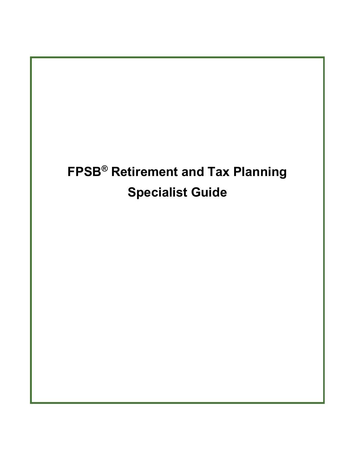# **FPSB® Retirement and Tax Planning Specialist Guide**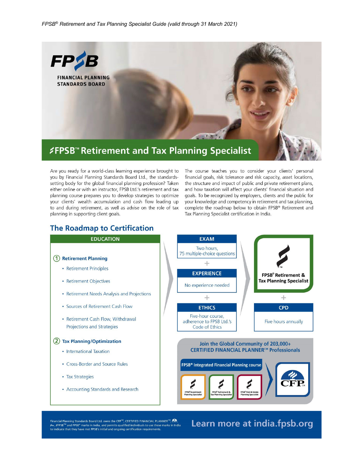

Are you ready for a world-class learning experience brought to you by Financial Planning Standards Board Ltd., the standardssetting body for the global financial planning profession? Taken either online or with an instructor, FPSB Ltd.'s retirement and tax planning course prepares you to develop strategies to optimize your clients' wealth accumulation and cash flow leading up to and during retirement, as well as advise on the role of tax planning in supporting client goals.

The course teaches you to consider your clients' personal financial goals, risk tolerance and risk capacity, asset locations, the structure and impact of public and private retirement plans, and how taxation will affect your clients' financial situation and goals. To be recognized by employers, clients and the public for your knowledge and competency in retirement and tax planning, complete the roadmap below to obtain FPSB® Retirement and Tax Planning Specialist certification in India.

#### **The Roadmap to Certification**



Financial Planning Standards Board Ltd. owns the CFP<sup>cw</sup>, CERTIFIED FINANCIAL PLANNER<sup>cop</sup>, **CR.**<br>*Fm., F*FPSB<sup>186</sup> and FPSB<sup>a</sup> marks in India, and permits qualified individuals to use these marks in India<br>to indicate that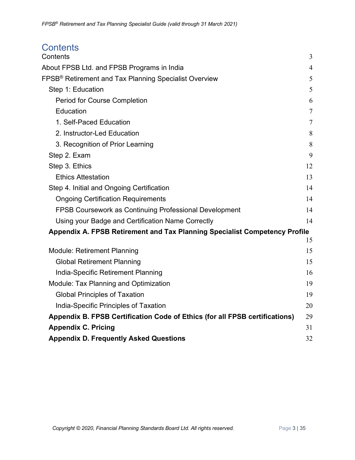<span id="page-2-0"></span>

| <b>Contents</b>                                                             |                |
|-----------------------------------------------------------------------------|----------------|
| Contents                                                                    | 3              |
| About FPSB Ltd. and FPSB Programs in India                                  | 4              |
| FPSB <sup>®</sup> Retirement and Tax Planning Specialist Overview           | 5              |
| Step 1: Education                                                           | 5              |
| <b>Period for Course Completion</b>                                         | 6              |
| Education                                                                   | $\overline{7}$ |
| 1. Self-Paced Education                                                     | $\tau$         |
| 2. Instructor-Led Education                                                 | 8              |
| 3. Recognition of Prior Learning                                            | 8              |
| Step 2. Exam                                                                | 9              |
| Step 3. Ethics                                                              | 12             |
| <b>Ethics Attestation</b>                                                   | 13             |
| Step 4. Initial and Ongoing Certification                                   | 14             |
| <b>Ongoing Certification Requirements</b>                                   | 14             |
| FPSB Coursework as Continuing Professional Development                      | 14             |
| Using your Badge and Certification Name Correctly                           | 14             |
| Appendix A. FPSB Retirement and Tax Planning Specialist Competency Profile  |                |
|                                                                             | 15             |
| <b>Module: Retirement Planning</b>                                          | 15             |
| <b>Global Retirement Planning</b>                                           | 15             |
| India-Specific Retirement Planning                                          | 16             |
| Module: Tax Planning and Optimization                                       | 19             |
| <b>Global Principles of Taxation</b>                                        | 19             |
| India-Specific Principles of Taxation                                       | 20             |
| Appendix B. FPSB Certification Code of Ethics (for all FPSB certifications) | 29             |
| <b>Appendix C. Pricing</b>                                                  | 31             |
| <b>Appendix D. Frequently Asked Questions</b>                               | 32             |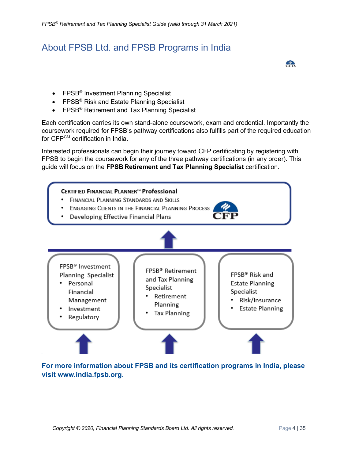# <span id="page-3-0"></span>About FPSB Ltd. and FPSB Programs in India

- FPSB<sup>®</sup> Investment Planning Specialist
- FPSB<sup>®</sup> Risk and Estate Planning Specialist
- FPSB<sup>®</sup> Retirement and Tax Planning Specialist

Each certification carries its own stand-alone coursework, exam and credential. Importantly the coursework required for FPSB's pathway certifications also fulfills part of the required education for CFPCM certification in India.

Interested professionals can begin their journey toward CFP certificating by registering with FPSB to begin the coursework for any of the three pathway certifications (in any order). This guide will focus on the **FPSB Retirement and Tax Planning Specialist** certification.



**For more information about FPSB and its certification programs in India, please visit www.india.fpsb.org.**

 $\frac{p}{\sqrt{1-p}}$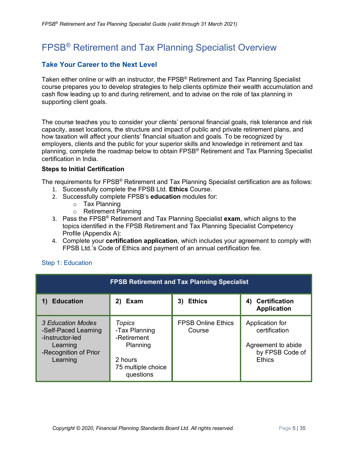# <span id="page-4-0"></span>FPSB® Retirement and Tax Planning Specialist Overview

#### **Take Your Career to the Next Level**

Taken either online or with an instructor, the FPSB<sup>®</sup> Retirement and Tax Planning Specialist course prepares you to develop strategies to help clients optimize their wealth accumulation and cash flow leading up to and during retirement, and to advise on the role of tax planning in supporting client goals.

The course teaches you to consider your clients' personal financial goals, risk tolerance and risk capacity, asset locations, the structure and impact of public and private retirement plans, and how taxation will affect your clients' financial situation and goals. To be recognized by employers, clients and the public for your superior skills and knowledge in retirement and tax planning, complete the roadmap below to obtain FPSB® Retirement and Tax Planning Specialist certification in India.

#### **Steps to Initial Certification**

The requirements for FPSB<sup>®</sup> Retirement and Tax Planning Specialist certification are as follows:

- 1. Successfully complete the FPSB Ltd. **Ethics** Course.
- 2. Successfully complete FPSB's **education** modules for:
	- o Tax Planning
	- o Retirement Planning
- 3. Pass the FPSB® Retirement and Tax Planning Specialist **exam**, which aligns to the topics identified in the FPSB Retirement and Tax Planning Specialist Competency Profile (Appendix A):
- 4. Complete your **certification application**, which includes your agreement to comply with FPSB Ltd.'s Code of Ethics and payment of an annual certification fee.

<span id="page-4-1"></span>

| Step 1: Education |  |  |  |
|-------------------|--|--|--|
|-------------------|--|--|--|

| <b>FPSB Retirement and Tax Planning Specialist</b>                                                            |                                                                                                  |                                     |                                                                                            |
|---------------------------------------------------------------------------------------------------------------|--------------------------------------------------------------------------------------------------|-------------------------------------|--------------------------------------------------------------------------------------------|
| <b>Education</b>                                                                                              | 2) Exam                                                                                          | <b>Ethics</b><br>3)                 | <b>Certification</b><br>4)<br><b>Application</b>                                           |
| 3 Education Modes<br>-Self-Paced Learning<br>-Instructor-led<br>Learning<br>-Recognition of Prior<br>Learning | Topics<br>-Tax Planning<br>-Retirement<br>Planning<br>2 hours<br>75 multiple choice<br>questions | <b>FPSB Online Ethics</b><br>Course | Application for<br>certification<br>Agreement to abide<br>by FPSB Code of<br><b>Ethics</b> |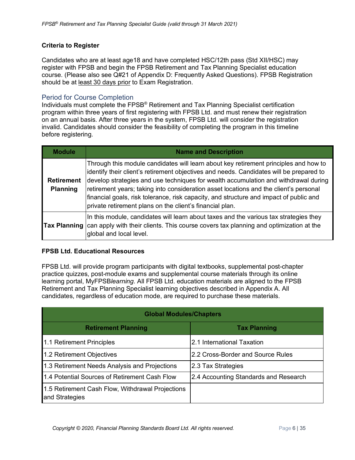#### **Criteria to Register**

Candidates who are at least age18 and have completed HSC/12th pass (Std XII/HSC) may register with FPSB and begin the FPSB Retirement and Tax Planning Specialist education course. (Please also see Q#21 of Appendix D: Frequently Asked Questions). FPSB Registration should be at least 30 days prior to Exam Registration.

#### <span id="page-5-0"></span>Period for Course Completion

Individuals must complete the FPSB® Retirement and Tax Planning Specialist certification program within three years of first registering with FPSB Ltd. and must renew their registration on an annual basis. After three years in the system, FPSB Ltd. will consider the registration invalid. Candidates should consider the feasibility of completing the program in this timeline before registering.

| <b>Module</b>                        | <b>Name and Description</b>                                                                                                                                                                                                                                                                                                                                                                                                                                                                                           |
|--------------------------------------|-----------------------------------------------------------------------------------------------------------------------------------------------------------------------------------------------------------------------------------------------------------------------------------------------------------------------------------------------------------------------------------------------------------------------------------------------------------------------------------------------------------------------|
| <b>Retirement</b><br><b>Planning</b> | Through this module candidates will learn about key retirement principles and how to<br>identify their client's retirement objectives and needs. Candidates will be prepared to<br>develop strategies and use techniques for wealth accumulation and withdrawal during<br>retirement years; taking into consideration asset locations and the client's personal<br>financial goals, risk tolerance, risk capacity, and structure and impact of public and<br>private retirement plans on the client's financial plan. |
| Tax Planning                         | In this module, candidates will learn about taxes and the various tax strategies they<br>can apply with their clients. This course covers tax planning and optimization at the<br>global and local level.                                                                                                                                                                                                                                                                                                             |

#### **FPSB Ltd. Educational Resources**

FPSB Ltd. will provide program participants with digital textbooks, supplemental post-chapter practice quizzes, post-module exams and supplemental course materials through its online learning portal, MyFPSB*learning*. All FPSB Ltd. education materials are aligned to the FPSB Retirement and Tax Planning Specialist learning objectives described in Appendix A. All candidates, regardless of education mode, are required to purchase these materials.

| <b>Global Modules/Chapters</b>                                     |                                       |  |
|--------------------------------------------------------------------|---------------------------------------|--|
| <b>Retirement Planning</b>                                         | <b>Tax Planning</b>                   |  |
| 1.1 Retirement Principles                                          | 2.1 International Taxation            |  |
| 1.2 Retirement Objectives                                          | 2.2 Cross-Border and Source Rules     |  |
| 1.3 Retirement Needs Analysis and Projections                      | 2.3 Tax Strategies                    |  |
| 1.4 Potential Sources of Retirement Cash Flow                      | 2.4 Accounting Standards and Research |  |
| 1.5 Retirement Cash Flow, Withdrawal Projections<br>and Strategies |                                       |  |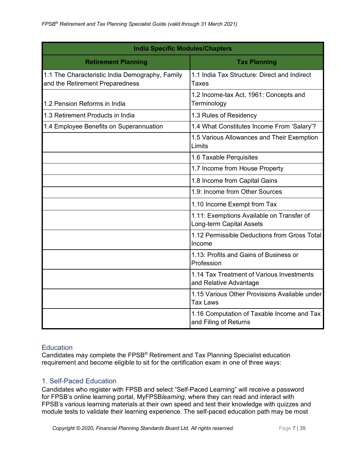| <b>India Specific Modules/Chapters</b>                                             |                                                                       |  |
|------------------------------------------------------------------------------------|-----------------------------------------------------------------------|--|
| <b>Retirement Planning</b>                                                         | <b>Tax Planning</b>                                                   |  |
| 1.1 The Characteristic India Demography, Family<br>and the Retirement Preparedness | 1.1 India Tax Structure: Direct and Indirect<br><b>Taxes</b>          |  |
| 1.2 Pension Reforms in India                                                       | 1.2 Income-tax Act, 1961: Concepts and<br>Terminology                 |  |
| 1.3 Retirement Products in India                                                   | 1.3 Rules of Residency                                                |  |
| 1.4 Employee Benefits on Superannuation                                            | 1.4 What Constitutes Income From 'Salary'?                            |  |
|                                                                                    | 1.5 Various Allowances and Their Exemption<br>Limits                  |  |
|                                                                                    | 1.6 Taxable Perquisites                                               |  |
|                                                                                    | 1.7 Income from House Property                                        |  |
|                                                                                    | 1.8 Income from Capital Gains                                         |  |
|                                                                                    | 1.9: Income from Other Sources                                        |  |
|                                                                                    | 1.10 Income Exempt from Tax                                           |  |
|                                                                                    | 1.11: Exemptions Available on Transfer of<br>Long-term Capital Assets |  |
|                                                                                    | 1.12 Permissible Deductions from Gross Total<br>Income                |  |
|                                                                                    | 1.13: Profits and Gains of Business or<br>Profession                  |  |
|                                                                                    | 1.14 Tax Treatment of Various Investments<br>and Relative Advantage   |  |
|                                                                                    | 1.15 Various Other Provisions Available under<br><b>Tax Laws</b>      |  |
|                                                                                    | 1.16 Computation of Taxable Income and Tax<br>and Filing of Returns   |  |

#### <span id="page-6-0"></span>**Education**

Candidates may complete the FPSB® Retirement and Tax Planning Specialist education requirement and become eligible to sit for the certification exam in one of three ways:

#### <span id="page-6-1"></span>1. Self-Paced Education

Candidates who register with FPSB and select "Self-Paced Learning" will receive a password for FPSB's online learning portal, MyFPSB*learning*, where they can read and interact with FPSB's various learning materials at their own speed and test their knowledge with quizzes and module tests to validate their learning experience. The self-paced education path may be most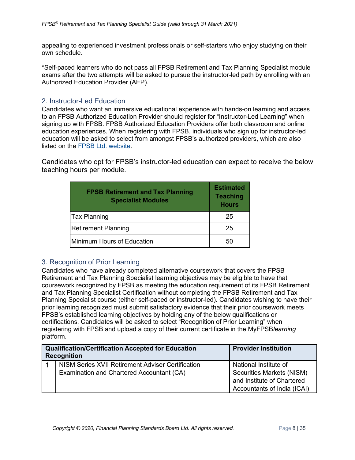appealing to experienced investment professionals or self-starters who enjoy studying on their own schedule.

\*Self-paced learners who do not pass all FPSB Retirement and Tax Planning Specialist module exams after the two attempts will be asked to pursue the instructor-led path by enrolling with an Authorized Education Provider (AEP).

#### <span id="page-7-0"></span>2. Instructor-Led Education

Candidates who want an immersive educational experience with hands-on learning and access to an FPSB Authorized Education Provider should register for "Instructor-Led Learning" when signing up with FPSB. FPSB Authorized Education Providers offer both classroom and online education experiences. When registering with FPSB, individuals who sign up for instructor-led education will be asked to select from amongst FPSB's authorized providers, which are also listed on the [FPSB Ltd. website.](https://india.fpsb.org/)

Candidates who opt for FPSB's instructor-led education can expect to receive the below teaching hours per module.

| <b>FPSB Retirement and Tax Planning</b><br><b>Specialist Modules</b> | <b>Estimated</b><br><b>Teaching</b><br><b>Hours</b> |
|----------------------------------------------------------------------|-----------------------------------------------------|
| Tax Planning                                                         | 25                                                  |
| <b>Retirement Planning</b>                                           | 25                                                  |
| Minimum Hours of Education                                           | 50                                                  |

#### <span id="page-7-1"></span>3. Recognition of Prior Learning

Candidates who have already completed alternative coursework that covers the FPSB Retirement and Tax Planning Specialist learning objectives may be eligible to have that coursework recognized by FPSB as meeting the education requirement of its FPSB Retirement and Tax Planning Specialist Certification without completing the FPSB Retirement and Tax Planning Specialist course (either self-paced or instructor-led). Candidates wishing to have their prior learning recognized must submit satisfactory evidence that their prior coursework meets FPSB's established learning objectives by holding any of the below qualifications or certifications. Candidates will be asked to select "Recognition of Prior Learning" when registering with FPSB and upload a copy of their current certificate in the MyFPSB*learning* platform.

| <b>Qualification/Certification Accepted for Education</b><br><b>Recognition</b> |                                                   | <b>Provider Institution</b> |
|---------------------------------------------------------------------------------|---------------------------------------------------|-----------------------------|
|                                                                                 | NISM Series XVII Retirement Adviser Certification | National Institute of       |
|                                                                                 | Examination and Chartered Accountant (CA)         | Securities Markets (NISM)   |
|                                                                                 |                                                   | and Institute of Chartered  |
|                                                                                 |                                                   | Accountants of India (ICAI) |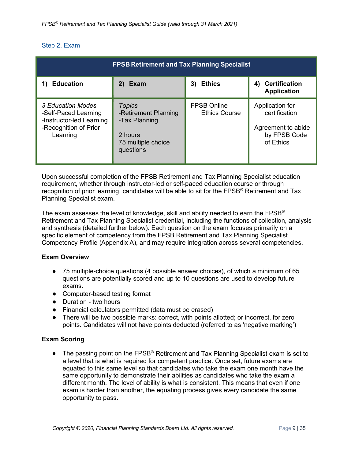#### <span id="page-8-0"></span>Step 2. Exam

| <b>FPSB Retirement and Tax Planning Specialist</b>                                                         |                                                                                                      |                                            |                                                                                     |
|------------------------------------------------------------------------------------------------------------|------------------------------------------------------------------------------------------------------|--------------------------------------------|-------------------------------------------------------------------------------------|
| <b>Education</b>                                                                                           | 2)<br>Exam                                                                                           | <b>Ethics</b><br>3)                        | <b>Certification</b><br>4)<br><b>Application</b>                                    |
| 3 Education Modes<br>-Self-Paced Learning<br>-Instructor-led Learning<br>-Recognition of Prior<br>Learning | <b>Topics</b><br>-Retirement Planning<br>-Tax Planning<br>2 hours<br>75 multiple choice<br>questions | <b>FPSB Online</b><br><b>Ethics Course</b> | Application for<br>certification<br>Agreement to abide<br>by FPSB Code<br>of Ethics |

Upon successful completion of the FPSB Retirement and Tax Planning Specialist education requirement, whether through instructor-led or self-paced education course or through recognition of prior learning, candidates will be able to sit for the  $\text{FPSB}^{\otimes}$  Retirement and Tax Planning Specialist exam.

The exam assesses the level of knowledge, skill and ability needed to earn the FPSB® Retirement and Tax Planning Specialist credential, including the functions of collection, analysis and synthesis (detailed further below). Each question on the exam focuses primarily on a specific element of competency from the FPSB Retirement and Tax Planning Specialist Competency Profile (Appendix A), and may require integration across several competencies.

#### **Exam Overview**

- 75 multiple-choice questions (4 possible answer choices), of which a minimum of 65 questions are potentially scored and up to 10 questions are used to develop future exams.
- Computer-based testing format
- Duration two hours
- Financial calculators permitted (data must be erased)
- There will be two possible marks: correct, with points allotted; or incorrect, for zero points. Candidates will not have points deducted (referred to as 'negative marking')

#### **Exam Scoring**

● The passing point on the FPSB<sup>®</sup> Retirement and Tax Planning Specialist exam is set to a level that is what is required for competent practice. Once set, future exams are equated to this same level so that candidates who take the exam one month have the same opportunity to demonstrate their abilities as candidates who take the exam a different month. The level of ability is what is consistent. This means that even if one exam is harder than another, the equating process gives every candidate the same opportunity to pass.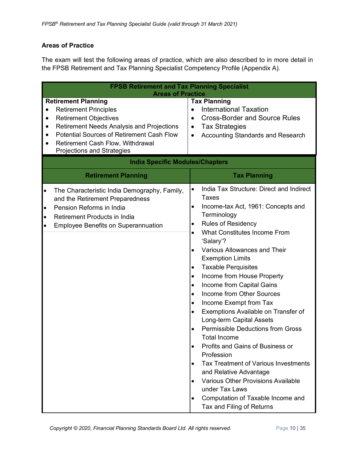#### **Areas of Practice**

The exam will test the following areas of practice, which are also described to in more detail in the FPSB Retirement and Tax Planning Specialist Competency Profile (Appendix A).

| <b>FPSB Retirement and Tax Planning Specialist</b><br><b>Areas of Practice</b>                                                                                                                                                                                                                  |                                                                                                                                                                                                                                                                                                                                                                                                                                                                                                                                                                                                                                                                                                                                                                                                                                                                                                                                                           |  |
|-------------------------------------------------------------------------------------------------------------------------------------------------------------------------------------------------------------------------------------------------------------------------------------------------|-----------------------------------------------------------------------------------------------------------------------------------------------------------------------------------------------------------------------------------------------------------------------------------------------------------------------------------------------------------------------------------------------------------------------------------------------------------------------------------------------------------------------------------------------------------------------------------------------------------------------------------------------------------------------------------------------------------------------------------------------------------------------------------------------------------------------------------------------------------------------------------------------------------------------------------------------------------|--|
| <b>Retirement Planning</b><br><b>Retirement Principles</b><br><b>Retirement Objectives</b><br>$\bullet$<br><b>Retirement Needs Analysis and Projections</b><br><b>Potential Sources of Retirement Cash Flow</b><br><b>Retirement Cash Flow, Withdrawal</b><br><b>Projections and Strategies</b> | <b>Tax Planning</b><br><b>International Taxation</b><br>$\bullet$<br><b>Cross-Border and Source Rules</b><br>$\bullet$<br><b>Tax Strategies</b><br>$\bullet$<br>Accounting Standards and Research<br>$\bullet$                                                                                                                                                                                                                                                                                                                                                                                                                                                                                                                                                                                                                                                                                                                                            |  |
| <b>India Specific Modules/Chapters</b>                                                                                                                                                                                                                                                          |                                                                                                                                                                                                                                                                                                                                                                                                                                                                                                                                                                                                                                                                                                                                                                                                                                                                                                                                                           |  |
| <b>Retirement Planning</b>                                                                                                                                                                                                                                                                      | <b>Tax Planning</b>                                                                                                                                                                                                                                                                                                                                                                                                                                                                                                                                                                                                                                                                                                                                                                                                                                                                                                                                       |  |
| The Characteristic India Demography, Family,<br>$\bullet$<br>and the Retirement Preparedness<br>Pension Reforms in India<br>$\bullet$<br>Retirement Products in India<br>$\bullet$<br><b>Employee Benefits on Superannuation</b><br>$\bullet$                                                   | India Tax Structure: Direct and Indirect<br>Taxes<br>Income-tax Act, 1961: Concepts and<br>$\bullet$<br>Terminology<br><b>Rules of Residency</b><br>٠<br>What Constitutes Income From<br>$\bullet$<br>'Salary'?<br><b>Various Allowances and Their</b><br>$\bullet$<br><b>Exemption Limits</b><br><b>Taxable Perquisites</b><br>٠<br>Income from House Property<br>٠<br>Income from Capital Gains<br>$\bullet$<br>Income from Other Sources<br>$\bullet$<br>Income Exempt from Tax<br>$\bullet$<br>Exemptions Available on Transfer of<br>$\bullet$<br>Long-term Capital Assets<br><b>Permissible Deductions from Gross</b><br>$\bullet$<br><b>Total Income</b><br>Profits and Gains of Business or<br>$\bullet$<br>Profession<br>Tax Treatment of Various Investments<br>$\bullet$<br>and Relative Advantage<br>Various Other Provisions Available<br>$\bullet$<br>under Tax Laws<br>Computation of Taxable Income and<br>٠<br>Tax and Filing of Returns |  |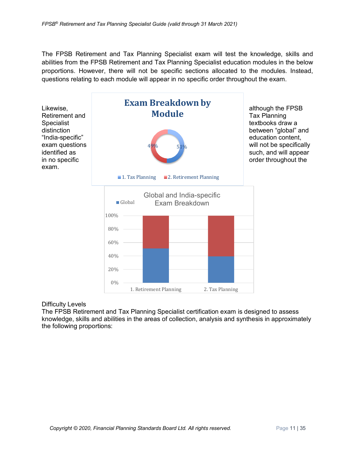The FPSB Retirement and Tax Planning Specialist exam will test the knowledge, skills and abilities from the FPSB Retirement and Tax Planning Specialist education modules in the below proportions. However, there will not be specific sections allocated to the modules. Instead, questions relating to each module will appear in no specific order throughout the exam.



#### Difficulty Levels

The FPSB Retirement and Tax Planning Specialist certification exam is designed to assess knowledge, skills and abilities in the areas of collection, analysis and synthesis in approximately the following proportions: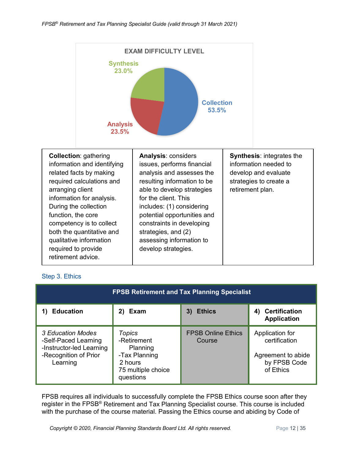

#### <span id="page-11-0"></span>Step 3. Ethics

| <b>FPSB Retirement and Tax Planning Specialist</b>                                                         |                                                                                                  |                                     |                                                                                     |
|------------------------------------------------------------------------------------------------------------|--------------------------------------------------------------------------------------------------|-------------------------------------|-------------------------------------------------------------------------------------|
| <b>Education</b>                                                                                           | Exam<br>2)                                                                                       | <b>Ethics</b><br>3)                 | <b>Certification</b><br>4)<br><b>Application</b>                                    |
| 3 Education Modes<br>-Self-Paced Learning<br>-Instructor-led Learning<br>-Recognition of Prior<br>Learning | Topics<br>-Retirement<br>Planning<br>-Tax Planning<br>2 hours<br>75 multiple choice<br>questions | <b>FPSB Online Ethics</b><br>Course | Application for<br>certification<br>Agreement to abide<br>by FPSB Code<br>of Ethics |

FPSB requires all individuals to successfully complete the FPSB Ethics course soon after they register in the FPSB® Retirement and Tax Planning Specialist course. This course is included with the purchase of the course material. Passing the Ethics course and abiding by Code of

**Copyright © 2020, Financial Planning Standards Board Ltd. All rights reserved.** Page 12 | 35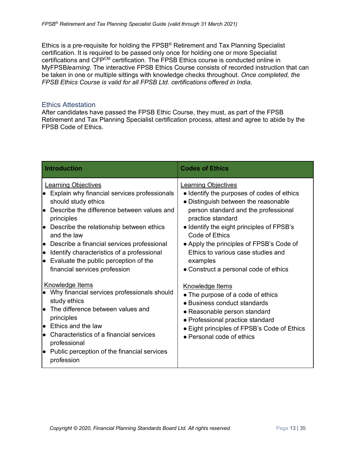Ethics is a pre-requisite for holding the FPSB® Retirement and Tax Planning Specialist certification. It is required to be passed only once for holding one or more Specialist certifications and CFPCM certification. The FPSB Ethics course is conducted online in MyFPSB*learning*. The interactive FPSB Ethics Course consists of recorded instruction that can be taken in one or multiple sittings with knowledge checks throughout. *Once completed, the FPSB Ethics Course is valid for all FPSB Ltd. certifications offered in India.*

#### <span id="page-12-0"></span>Ethics Attestation

After candidates have passed the FPSB Ethic Course, they must, as part of the FPSB Retirement and Tax Planning Specialist certification process, attest and agree to abide by the FPSB Code of Ethics.

| <b>Introduction</b>                                                                                                                                                                                                                                                                                                                                                                                                   | <b>Codes of Ethics</b>                                                                                                                                                                                                                                                                                                                                                              |
|-----------------------------------------------------------------------------------------------------------------------------------------------------------------------------------------------------------------------------------------------------------------------------------------------------------------------------------------------------------------------------------------------------------------------|-------------------------------------------------------------------------------------------------------------------------------------------------------------------------------------------------------------------------------------------------------------------------------------------------------------------------------------------------------------------------------------|
| <b>Learning Objectives</b><br>Explain why financial services professionals<br>should study ethics<br>$\bullet$ Describe the difference between values and<br>principles<br>Describe the relationship between ethics<br>and the law<br>Describe a financial services professional<br>le.<br>Identify characteristics of a professional<br>lo<br>Evaluate the public perception of the<br>financial services profession | <b>Learning Objectives</b><br>• Identify the purposes of codes of ethics<br>• Distinguish between the reasonable<br>person standard and the professional<br>practice standard<br>• Identify the eight principles of FPSB's<br>Code of Ethics<br>• Apply the principles of FPSB's Code of<br>Ethics to various case studies and<br>examples<br>• Construct a personal code of ethics |
| Knowledge Items<br>• Why financial services professionals should<br>study ethics<br>lo The difference between values and<br>principles<br>$\bullet$ Ethics and the law<br>$\bullet$ Characteristics of a financial services<br>professional<br>Public perception of the financial services<br>le.<br>profession                                                                                                       | Knowledge Items<br>• The purpose of a code of ethics<br>• Business conduct standards<br>• Reasonable person standard<br>• Professional practice standard<br>• Eight principles of FPSB's Code of Ethics<br>• Personal code of ethics                                                                                                                                                |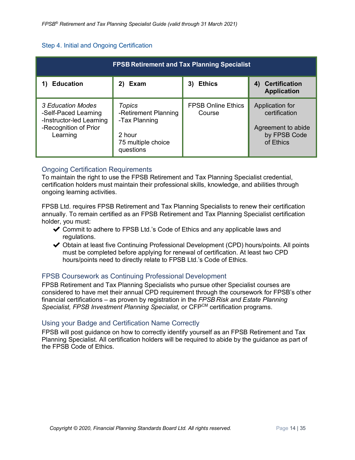#### <span id="page-13-0"></span>Step 4. Initial and Ongoing Certification

| <b>FPSB Retirement and Tax Planning Specialist</b>                                                         |                                                                                                     |                                     |                                                                                     |  |
|------------------------------------------------------------------------------------------------------------|-----------------------------------------------------------------------------------------------------|-------------------------------------|-------------------------------------------------------------------------------------|--|
| <b>Education</b>                                                                                           | 2)<br>Exam                                                                                          | <b>Ethics</b><br>3)                 | 4) Certification<br><b>Application</b>                                              |  |
| 3 Education Modes<br>-Self-Paced Learning<br>-Instructor-led Learning<br>-Recognition of Prior<br>Learning | <b>Topics</b><br>-Retirement Planning<br>-Tax Planning<br>2 hour<br>75 multiple choice<br>questions | <b>FPSB Online Ethics</b><br>Course | Application for<br>certification<br>Agreement to abide<br>by FPSB Code<br>of Ethics |  |

#### <span id="page-13-1"></span>Ongoing Certification Requirements

To maintain the right to use the FPSB Retirement and Tax Planning Specialist credential, certification holders must maintain their professional skills, knowledge, and abilities through ongoing learning activities.

FPSB Ltd. requires FPSB Retirement and Tax Planning Specialists to renew their certification annually. To remain certified as an FPSB Retirement and Tax Planning Specialist certification holder, you must:

- ✔ Commit to adhere to FPSB Ltd.'s Code of Ethics and any applicable laws and regulations.
- ◆ Obtain at least five Continuing Professional Development (CPD) hours/points. All points must be completed before applying for renewal of certification. At least two CPD hours/points need to directly relate to FPSB Ltd.'s Code of Ethics.

#### <span id="page-13-2"></span>FPSB Coursework as Continuing Professional Development

FPSB Retirement and Tax Planning Specialists who pursue other Specialist courses are considered to have met their annual CPD requirement through the coursework for FPSB's other financial certifications – as proven by registration in the *FPSB Risk and Estate Planning Specialist, FPSB Investment Planning Specialist,* or CFPCM certification programs.

#### <span id="page-13-3"></span>Using your Badge and Certification Name Correctly

FPSB will post guidance on how to correctly identify yourself as an FPSB Retirement and Tax Planning Specialist. All certification holders will be required to abide by the guidance as part of the FPSB Code of Ethics.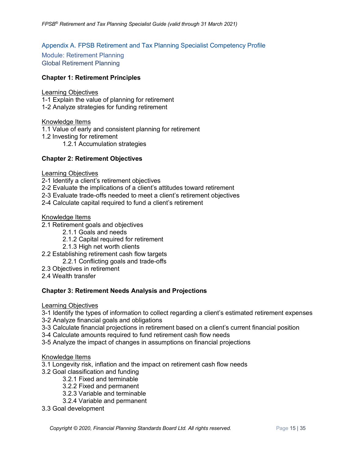#### <span id="page-14-0"></span>Appendix A. FPSB Retirement and Tax Planning Specialist Competency Profile

<span id="page-14-2"></span><span id="page-14-1"></span>Module: Retirement Planning Global Retirement Planning

#### **Chapter 1: Retirement Principles**

#### Learning Objectives

- 1-1 Explain the value of planning for retirement
- 1-2 Analyze strategies for funding retirement

Knowledge Items

- 1.1 Value of early and consistent planning for retirement
- 1.2 Investing for retirement
	- 1.2.1 Accumulation strategies

#### **Chapter 2: Retirement Objectives**

#### Learning Objectives

- 2-1 Identify a client's retirement objectives
- 2-2 Evaluate the implications of a client's attitudes toward retirement
- 2-3 Evaluate trade-offs needed to meet a client's retirement objectives
- 2-4 Calculate capital required to fund a client's retirement

#### Knowledge Items

- 2.1 Retirement goals and objectives
	- 2.1.1 Goals and needs
	- 2.1.2 Capital required for retirement
	- 2.1.3 High net worth clients
- 2.2 Establishing retirement cash flow targets
	- 2.2.1 Conflicting goals and trade-offs
- 2.3 Objectives in retirement
- 2.4 Wealth transfer

#### **Chapter 3: Retirement Needs Analysis and Projections**

Learning Objectives

3-1 Identify the types of information to collect regarding a client's estimated retirement expenses

- 3-2 Analyze financial goals and obligations
- 3-3 Calculate financial projections in retirement based on a client's current financial position
- 3-4 Calculate amounts required to fund retirement cash flow needs
- 3-5 Analyze the impact of changes in assumptions on financial projections

#### Knowledge Items

- 3.1 Longevity risk, inflation and the impact on retirement cash flow needs
- 3.2 Goal classification and funding
	- 3.2.1 Fixed and terminable
	- 3.2.2 Fixed and permanent
	- 3.2.3 Variable and terminable
	- 3.2.4 Variable and permanent
- 3.3 Goal development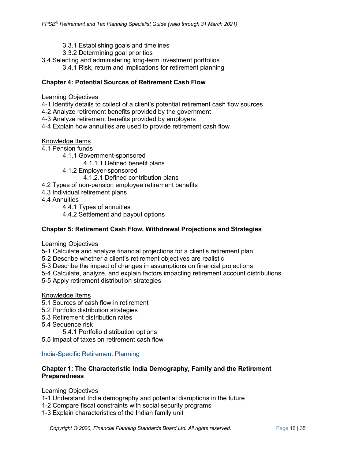- 3.3.1 Establishing goals and timelines
- 3.3.2 Determining goal priorities
- 3.4 Selecting and administering long-term investment portfolios
	- 3.4.1 Risk, return and implications for retirement planning

#### **Chapter 4: Potential Sources of Retirement Cash Flow**

#### Learning Objectives

4-1 Identify details to collect of a client's potential retirement cash flow sources

- 4-2 Analyze retirement benefits provided by the government
- 4-3 Analyze retirement benefits provided by employers
- 4-4 Explain how annuities are used to provide retirement cash flow

#### Knowledge Items

- 4.1 Pension funds
	- 4.1.1 Government-sponsored
		- 4.1.1.1 Defined benefit plans
	- 4.1.2 Employer-sponsored
		- 4.1.2.1 Defined contribution plans
- 4.2 Types of non-pension employee retirement benefits
- 4.3 Individual retirement plans
- 4.4 Annuities
	- 4.4.1 Types of annuities
	- 4.4.2 Settlement and payout options

#### **Chapter 5: Retirement Cash Flow, Withdrawal Projections and Strategies**

#### Learning Objectives

- 5-1 Calculate and analyze financial projections for a client's retirement plan.
- 5-2 Describe whether a client's retirement objectives are realistic
- 5-3 Describe the impact of changes in assumptions on financial projections
- 5-4 Calculate, analyze, and explain factors impacting retirement account distributions.
- 5-5 Apply retirement distribution strategies

#### Knowledge Items

- 5.1 Sources of cash flow in retirement
- 5.2 Portfolio distribution strategies
- 5.3 Retirement distribution rates
- 5.4 Sequence risk
	- 5.4.1 Portfolio distribution options
- 5.5 Impact of taxes on retirement cash flow

#### <span id="page-15-0"></span>India-Specific Retirement Planning

#### **Chapter 1: The Characteristic India Demography, Family and the Retirement Preparedness**

#### Learning Objectives

- 1-1 Understand India demography and potential disruptions in the future
- 1-2 Compare fiscal constraints with social security programs
- 1-3 Explain characteristics of the Indian family unit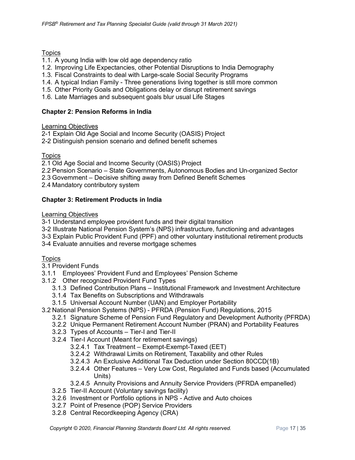#### **Topics**

- 1.1. A young India with low old age dependency ratio
- 1.2. Improving Life Expectancies, other Potential Disruptions to India Demography
- 1.3. Fiscal Constraints to deal with Large-scale Social Security Programs
- 1.4. A typical Indian Family Three generations living together is still more common
- 1.5. Other Priority Goals and Obligations delay or disrupt retirement savings
- 1.6. Late Marriages and subsequent goals blur usual Life Stages

#### **Chapter 2: Pension Reforms in India**

#### Learning Objectives

2-1 Explain Old Age Social and Income Security (OASIS) Project

2-2 Distinguish pension scenario and defined benefit schemes

#### **Topics**

2.1 Old Age Social and Income Security (OASIS) Project

- 2.2 Pension Scenario State Governments, Autonomous Bodies and Un-organized Sector
- 2.3 Government Decisive shifting away from Defined Benefit Schemes
- 2.4 Mandatory contributory system

#### **Chapter 3: Retirement Products in India**

#### Learning Objectives

- 3-1 Understand employee provident funds and their digital transition
- 3-2 Illustrate National Pension System's (NPS) infrastructure, functioning and advantages
- 3-3 Explain Public Provident Fund (PPF) and other voluntary institutional retirement products
- 3-4 Evaluate annuities and reverse mortgage schemes

#### Topics

- 3.1 Provident Funds
- 3.1.1 Employees' Provident Fund and Employees' Pension Scheme
- 3.1.2 Other recognized Provident Fund Types
	- 3.1.3 Defined Contribution Plans Institutional Framework and Investment Architecture
	- 3.1.4 Tax Benefits on Subscriptions and Withdrawals
	- 3.1.5 Universal Account Number (UAN) and Employer Portability
- 3.2 National Pension Systems (NPS) PFRDA (Pension Fund) Regulations, 2015
	- 3.2.1 Signature Scheme of Pension Fund Regulatory and Development Authority (PFRDA)
	- 3.2.2 Unique Permanent Retirement Account Number (PRAN) and Portability Features
	- 3.2.3 Types of Accounts Tier-I and Tier-II
	- 3.2.4 Tier-I Account (Meant for retirement savings)
		- 3.2.4.1 Tax Treatment Exempt-Exempt-Taxed (EET)
		- 3.2.4.2 Withdrawal Limits on Retirement, Taxability and other Rules
		- 3.2.4.3 An Exclusive Additional Tax Deduction under Section 80CCD(1B)
		- 3.2.4.4 Other Features Very Low Cost, Regulated and Funds based (Accumulated Units)
		- 3.2.4.5 Annuity Provisions and Annuity Service Providers (PFRDA empanelled)
	- 3.2.5 Tier-II Account (Voluntary savings facility)
	- 3.2.6 Investment or Portfolio options in NPS Active and Auto choices
	- 3.2.7 Point of Presence (POP) Service Providers
	- 3.2.8 Central Recordkeeping Agency (CRA)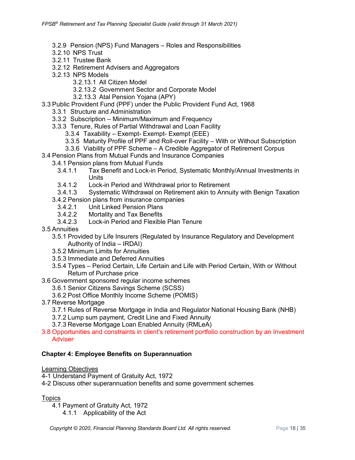- 3.2.9 Pension (NPS) Fund Managers Roles and Responsibilities
- 3.2.10 NPS Trust
- 3.2.11 Trustee Bank
- 3.2.12 Retirement Advisers and Aggregators
- 3.2.13 NPS Models
	- 3.2.13.1 All Citizen Model
	- 3.2.13.2 Government Sector and Corporate Model
	- 3.2.13.3 Atal Pension Yojana (APY)
- 3.3 Public Provident Fund (PPF) under the Public Provident Fund Act, 1968
	- 3.3.1 Structure and Administration
	- 3.3.2 Subscription Minimum/Maximum and Frequency
	- 3.3.3 Tenure, Rules of Partial Withdrawal and Loan Facility
		- 3.3.4 Taxability Exempt- Exempt- Exempt (EEE)
		- 3.3.5 Maturity Profile of PPF and Roll-over Facility With or Without Subscription
		- 3.3.6 Viability of PPF Scheme A Credible Aggregator of Retirement Corpus
- 3.4 Pension Plans from Mutual Funds and Insurance Companies
	- 3.4.1 Pension plans from Mutual Funds
		- 3.4.1.1 Tax Benefit and Lock-in Period, Systematic Monthly/Annual Investments in Units
		- 3.4.1.2 Lock-in Period and Withdrawal prior to Retirement
	- 3.4.1.3 Systematic Withdrawal on Retirement akin to Annuity with Benign Taxation
	- 3.4.2 Pension plans from insurance companies
		- 3.4.2.1 Unit Linked Pension Plans
		- 3.4.2.2 Mortality and Tax Benefits<br>3.4.2.3 Lock-in Period and Flexible
		- Lock-in Period and Flexible Plan Tenure
- 3.5 Annuities
	- 3.5.1 Provided by Life Insurers (Regulated by Insurance Regulatory and Development Authority of India – IRDAI)
	- 3.5.2 Minimum Limits for Annuities
	- 3.5.3 Immediate and Deferred Annuities
	- 3.5.4 Types Period Certain, Life Certain and Life with Period Certain, With or Without Return of Purchase price
- 3.6 Government sponsored regular income schemes
	- 3.6.1 Senior Citizens Savings Scheme (SCSS)
	- 3.6.2 Post Office Monthly Income Scheme (POMIS)
- 3.7 Reverse Mortgage
	- 3.7.1 Rules of Reverse Mortgage in India and Regulator National Housing Bank (NHB)
	- 3.7.2 Lump sum payment, Credit Line and Fixed Annuity
	- 3.7.3 Reverse Mortgage Loan Enabled Annuity (RMLeA)
- 3.8 Opportunities and constraints in client's retirement portfolio construction by an Investment **Adviser**

#### **Chapter 4: Employee Benefits on Superannuation**

- Learning Objectives
- 4-1 Understand Payment of Gratuity Act, 1972
- 4-2 Discuss other superannuation benefits and some government schemes

**Topics** 

- 4.1 Payment of Gratuity Act, 1972
	- 4.1.1 Applicability of the Act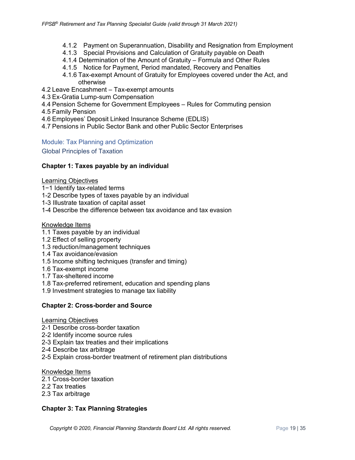- 4.1.2 Payment on Superannuation, Disability and Resignation from Employment
- 4.1.3 Special Provisions and Calculation of Gratuity payable on Death
- 4.1.4 Determination of the Amount of Gratuity Formula and Other Rules
- 4.1.5 Notice for Payment, Period mandated, Recovery and Penalties
- 4.1.6 Tax-exempt Amount of Gratuity for Employees covered under the Act, and otherwise
- 4.2 Leave Encashment Tax-exempt amounts
- 4.3 Ex-Gratia Lump-sum Compensation
- 4.4 Pension Scheme for Government Employees Rules for Commuting pension
- 4.5 Family Pension
- 4.6 Employees' Deposit Linked Insurance Scheme (EDLIS)
- 4.7 Pensions in Public Sector Bank and other Public Sector Enterprises

<span id="page-18-0"></span>Module: Tax Planning and Optimization

<span id="page-18-1"></span>Global Principles of Taxation

#### **Chapter 1: Taxes payable by an individual**

#### Learning Objectives

- 1−1 Identify tax-related terms
- 1-2 Describe types of taxes payable by an individual
- 1-3 Illustrate taxation of capital asset
- 1-4 Describe the difference between tax avoidance and tax evasion

#### Knowledge Items

- 1.1 Taxes payable by an individual
- 1.2 Effect of selling property
- 1.3 reduction/management techniques
- 1.4 Tax avoidance/evasion
- 1.5 Income shifting techniques (transfer and timing)
- 1.6 Tax-exempt income
- 1.7 Tax-sheltered income
- 1.8 Tax-preferred retirement, education and spending plans
- 1.9 Investment strategies to manage tax liability

#### **Chapter 2: Cross-border and Source**

#### Learning Objectives

- 2-1 Describe cross-border taxation
- 2-2 Identify income source rules
- 2-3 Explain tax treaties and their implications
- 2-4 Describe tax arbitrage
- 2-5 Explain cross-border treatment of retirement plan distributions

#### Knowledge Items

- 2.1 Cross-border taxation
- 2.2 Tax treaties
- 2.3 Tax arbitrage

#### **Chapter 3: Tax Planning Strategies**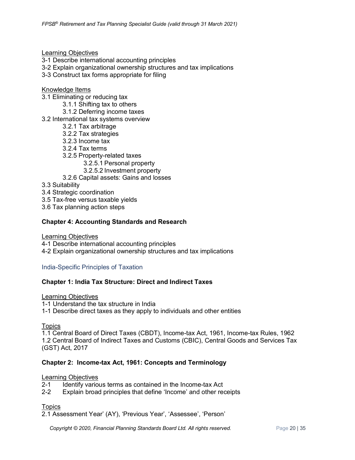Learning Objectives

- 3-1 Describe international accounting principles
- 3-2 Explain organizational ownership structures and tax implications
- 3-3 Construct tax forms appropriate for filing

#### Knowledge Items

- 3.1 Eliminating or reducing tax
	- 3.1.1 Shifting tax to others
	- 3.1.2 Deferring income taxes
- 3.2 International tax systems overview
	- 3.2.1 Tax arbitrage
	- 3.2.2 Tax strategies
	- 3.2.3 Income tax
	- 3.2.4 Tax terms
	- 3.2.5 Property-related taxes
		- 3.2.5.1 Personal property
		- 3.2.5.2 Investment property
	- 3.2.6 Capital assets: Gains and losses
- 3.3 Suitability
- 3.4 Strategic coordination
- 3.5 Tax-free versus taxable yields
- 3.6 Tax planning action steps

#### **Chapter 4: Accounting Standards and Research**

Learning Objectives 4-1 Describe international accounting principles 4-2 Explain organizational ownership structures and tax implications

<span id="page-19-0"></span>India-Specific Principles of Taxation

#### **Chapter 1: India Tax Structure: Direct and Indirect Taxes**

Learning Objectives

1-1 Understand the tax structure in India

1-1 Describe direct taxes as they apply to individuals and other entities

#### **Topics**

1.1 Central Board of Direct Taxes (CBDT), Income-tax Act, 1961, Income-tax Rules, 1962 1.2 Central Board of Indirect Taxes and Customs (CBIC), Central Goods and Services Tax (GST) Act, 2017

#### **Chapter 2: Income-tax Act, 1961: Concepts and Terminology**

#### Learning Objectives

- 2-1 Identify various terms as contained in the Income-tax Act
- 2-2 Explain broad principles that define 'Income' and other receipts

#### **Topics**

2.1 Assessment Year' (AY), 'Previous Year', 'Assessee', 'Person'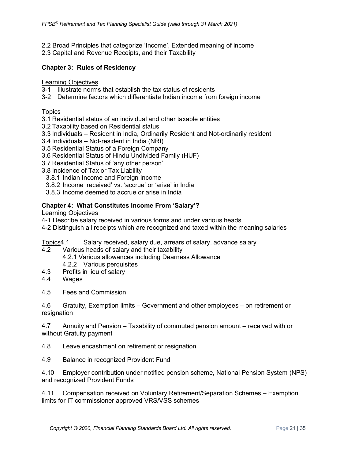- 2.2 Broad Principles that categorize 'Income', Extended meaning of income
- 2.3 Capital and Revenue Receipts, and their Taxability

#### **Chapter 3: Rules of Residency**

#### Learning Objectives

- 3-1 Illustrate norms that establish the tax status of residents
- 3-2 Determine factors which differentiate Indian income from foreign income

#### **Topics**

- 3.1 Residential status of an individual and other taxable entities
- 3.2 Taxability based on Residential status
- 3.3 Individuals Resident in India, Ordinarily Resident and Not-ordinarily resident
- 3.4 Individuals Not-resident in India (NRI)
- 3.5 Residential Status of a Foreign Company
- 3.6 Residential Status of Hindu Undivided Family (HUF)
- 3.7 Residential Status of 'any other person'
- 3.8 Incidence of Tax or Tax Liability
- 3.8.1 Indian Income and Foreign Income
- 3.8.2 Income 'received' vs. 'accrue' or 'arise' in India
- 3.8.3 Income deemed to accrue or arise in India

#### **Chapter 4: What Constitutes Income From 'Salary'?**

Learning Objectives

- 4-1 Describe salary received in various forms and under various heads
- 4-2 Distinguish all receipts which are recognized and taxed within the meaning salaries

Topics4.1 Salary received, salary due, arrears of salary, advance salary

- 4.2 Various heads of salary and their taxability
	- 4.2.1 Various allowances including Dearness Allowance
	- 4.2.2 Various perquisites
- 4.3 Profits in lieu of salary
- 4.4 Wages
- 4.5 Fees and Commission

4.6 Gratuity, Exemption limits – Government and other employees – on retirement or resignation

4.7 Annuity and Pension – Taxability of commuted pension amount – received with or without Gratuity payment

4.8 Leave encashment on retirement or resignation

4.9 Balance in recognized Provident Fund

4.10 Employer contribution under notified pension scheme, National Pension System (NPS) and recognized Provident Funds

4.11 Compensation received on Voluntary Retirement/Separation Schemes – Exemption limits for IT commissioner approved VRS/VSS schemes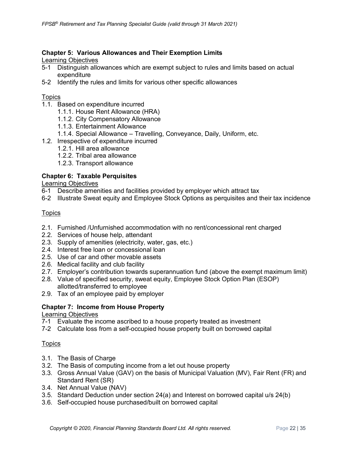#### **Chapter 5: Various Allowances and Their Exemption Limits**

Learning Objectives

- 5-1 Distinguish allowances which are exempt subject to rules and limits based on actual expenditure
- 5-2 Identify the rules and limits for various other specific allowances

#### Topics

- 1.1. Based on expenditure incurred
	- 1.1.1. House Rent Allowance (HRA)
	- 1.1.2. City Compensatory Allowance
	- 1.1.3. Entertainment Allowance
	- 1.1.4. Special Allowance Travelling, Conveyance, Daily, Uniform, etc.
- 1.2. Irrespective of expenditure incurred
	- 1.2.1. Hill area allowance
	- 1.2.2. Tribal area allowance
	- 1.2.3. Transport allowance

#### **Chapter 6: Taxable Perquisites**

Learning Objectives

- 6-1 Describe amenities and facilities provided by employer which attract tax
- 6-2 Illustrate Sweat equity and Employee Stock Options as perquisites and their tax incidence

#### **Topics**

- 2.1. Furnished /Unfurnished accommodation with no rent/concessional rent charged
- 2.2. Services of house help, attendant
- 2.3. Supply of amenities (electricity, water, gas, etc.)
- 2.4. Interest free loan or concessional loan
- 2.5. Use of car and other movable assets
- 2.6. Medical facility and club facility
- 2.7. Employer's contribution towards superannuation fund (above the exempt maximum limit)
- 2.8. Value of specified security, sweat equity, Employee Stock Option Plan (ESOP) allotted/transferred to employee
- 2.9. Tax of an employee paid by employer

#### **Chapter 7: Income from House Property**

#### Learning Objectives

- 7-1 Evaluate the income ascribed to a house property treated as investment
- 7-2 Calculate loss from a self-occupied house property built on borrowed capital

#### **Topics**

- 3.1. The Basis of Charge
- 3.2. The Basis of computing income from a let out house property
- 3.3. Gross Annual Value (GAV) on the basis of Municipal Valuation (MV), Fair Rent (FR) and Standard Rent (SR)
- 3.4. Net Annual Value (NAV)
- 3.5. Standard Deduction under section 24(a) and Interest on borrowed capital u/s 24(b)
- 3.6. Self-occupied house purchased/built on borrowed capital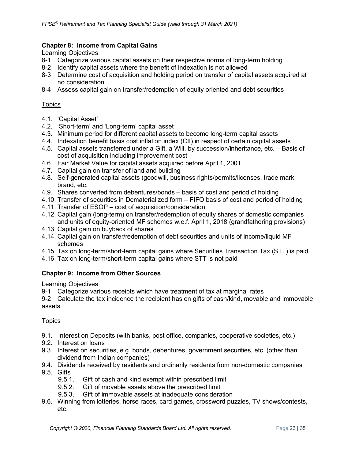#### **Chapter 8: Income from Capital Gains**

Learning Objectives

- 8-1 Categorize various capital assets on their respective norms of long-term holding
- 8-2 Identify capital assets where the benefit of indexation is not allowed
- 8-3 Determine cost of acquisition and holding period on transfer of capital assets acquired at no consideration
- 8-4 Assess capital gain on transfer/redemption of equity oriented and debt securities

#### **Topics**

- 4.1. 'Capital Asset'
- 4.2. 'Short-term' and 'Long-term' capital asset
- 4.3. Minimum period for different capital assets to become long-term capital assets
- 4.4. Indexation benefit basis cost inflation index (CII) in respect of certain capital assets
- 4.5. Capital assets transferred under a Gift, a Will, by succession/inheritance, etc. Basis of cost of acquisition including improvement cost
- 4.6. Fair Market Value for capital assets acquired before April 1, 2001
- 4.7. Capital gain on transfer of land and building
- 4.8. Self-generated capital assets (goodwill, business rights/permits/licenses, trade mark, brand, etc.
- 4.9. Shares converted from debentures/bonds basis of cost and period of holding
- 4.10. Transfer of securities in Dematerialized form FIFO basis of cost and period of holding
- 4.11. Transfer of ESOP cost of acquisition/consideration
- 4.12. Capital gain (long-term) on transfer/redemption of equity shares of domestic companies and units of equity-oriented MF schemes w.e.f. April 1, 2018 (grandfathering provisions)
- 4.13. Capital gain on buyback of shares
- 4.14. Capital gain on transfer/redemption of debt securities and units of income/liquid MF schemes
- 4.15. Tax on long-term/short-term capital gains where Securities Transaction Tax (STT) is paid
- 4.16. Tax on long-term/short-term capital gains where STT is not paid

#### **Chapter 9: Income from Other Sources**

#### Learning Objectives

9-1 Categorize various receipts which have treatment of tax at marginal rates

9-2 Calculate the tax incidence the recipient has on gifts of cash/kind, movable and immovable assets

#### Topics

- 9.1. Interest on Deposits (with banks, post office, companies, cooperative societies, etc.)
- 9.2. Interest on loans
- 9.3. Interest on securities, e.g. bonds, debentures, government securities, etc. (other than dividend from Indian companies)
- 9.4. Dividends received by residents and ordinarily residents from non-domestic companies
- 9.5. Gifts
	- 9.5.1. Gift of cash and kind exempt within prescribed limit
	- 9.5.2. Gift of movable assets above the prescribed limit
	- 9.5.3. Gift of immovable assets at inadequate consideration
- 9.6. Winning from lotteries, horse races, card games, crossword puzzles, TV shows/contests, etc.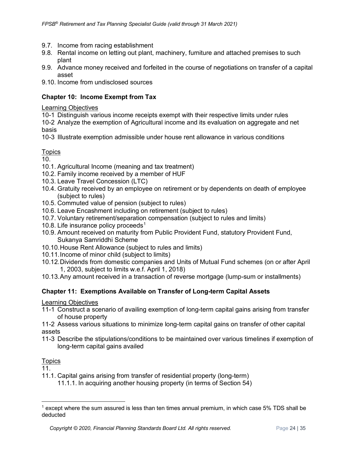- 9.7. Income from racing establishment
- 9.8. Rental income on letting out plant, machinery, furniture and attached premises to such plant
- 9.9. Advance money received and forfeited in the course of negotiations on transfer of a capital asset
- 9.10. Income from undisclosed sources

#### **Chapter 10: Income Exempt from Tax**

#### Learning Objectives

10-1 Distinguish various income receipts exempt with their respective limits under rules

10-2 Analyze the exemption of Agricultural income and its evaluation on aggregate and net basis

10-3 Illustrate exemption admissible under house rent allowance in various conditions

#### **Topics**

10.

- 10.1. Agricultural Income (meaning and tax treatment)
- 10.2. Family income received by a member of HUF
- 10.3. Leave Travel Concession (LTC)
- 10.4. Gratuity received by an employee on retirement or by dependents on death of employee (subject to rules)
- 10.5. Commuted value of pension (subject to rules)
- 10.6. Leave Encashment including on retirement (subject to rules)
- 10.7. Voluntary retirement/separation compensation (subject to rules and limits)
- [1](#page-23-0)0.8. Life insurance policy proceeds<sup>1</sup>
- 10.9. Amount received on maturity from Public Provident Fund, statutory Provident Fund, Sukanya Samriddhi Scheme
- 10.10.House Rent Allowance (subject to rules and limits)
- 10.11.Income of minor child (subject to limits)
- 10.12.Dividends from domestic companies and Units of Mutual Fund schemes (on or after April 1, 2003, subject to limits w.e.f. April 1, 2018)
- 10.13.Any amount received in a transaction of reverse mortgage (lump-sum or installments)

#### **Chapter 11: Exemptions Available on Transfer of Long-term Capital Assets**

Learning Objectives

11-1 Construct a scenario of availing exemption of long-term capital gains arising from transfer of house property

11-2 Assess various situations to minimize long-term capital gains on transfer of other capital assets

11-3 Describe the stipulations/conditions to be maintained over various timelines if exemption of long-term capital gains availed

#### **Topics**

11.

- 11.1. Capital gains arising from transfer of residential property (long-term)
	- 11.1.1. In acquiring another housing property (in terms of Section 54)

<span id="page-23-0"></span> $<sup>1</sup>$  except where the sum assured is less than ten times annual premium, in which case 5% TDS shall be</sup> deducted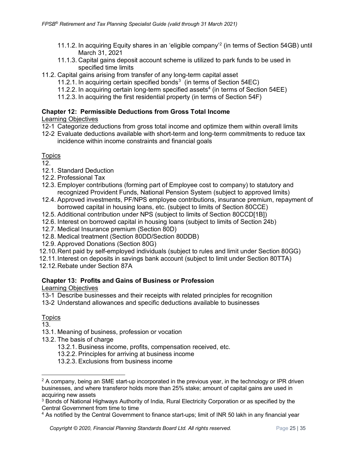- 11.1.2. In acquiring Equity shares in an 'eligible company'[2](#page-24-0) (in terms of Section 54GB) until March 31, 2021
- 11.1.3. Capital gains deposit account scheme is utilized to park funds to be used in specified time limits
- 11.2. Capital gains arising from transfer of any long-term capital asset
	- 11.2.1. In acquiring certain specified bonds<sup>[3](#page-24-1)</sup> (in terms of Section 54EC)
	- 11.2.2. In acquiring certain long-term specified assets<sup>4</sup> (in terms of Section 54EE)
	- 11.2.3. In acquiring the first residential property (in terms of Section 54F)

#### **Chapter 12: Permissible Deductions from Gross Total Income**

Learning Objectives

- 12-1 Categorize deductions from gross total income and optimize them within overall limits
- 12-2 Evaluate deductions available with short-term and long-term commitments to reduce tax incidence within income constraints and financial goals

#### Topics

12.

- 12.1. Standard Deduction
- 12.2. Professional Tax
- 12.3. Employer contributions (forming part of Employee cost to company) to statutory and recognized Provident Funds, National Pension System (subject to approved limits)
- 12.4. Approved investments, PF/NPS employee contributions, insurance premium, repayment of borrowed capital in housing loans, etc. (subject to limits of Section 80CCE)
- 12.5. Additional contribution under NPS (subject to limits of Section 80CCD[1B])
- 12.6. Interest on borrowed capital in housing loans (subject to limits of Section 24b)
- 12.7. Medical Insurance premium (Section 80D)
- 12.8. Medical treatment (Section 80DD/Section 80DDB)
- 12.9. Approved Donations (Section 80G)
- 12.10.Rent paid by self-employed individuals (subject to rules and limit under Section 80GG)
- 12.11.Interest on deposits in savings bank account (subject to limit under Section 80TTA)
- 12.12.Rebate under Section 87A

#### **Chapter 13: Profits and Gains of Business or Profession**

Learning Objectives

- 13-1 Describe businesses and their receipts with related principles for recognition
- 13-2 Understand allowances and specific deductions available to businesses

#### **Topics**

13.

- 13.1. Meaning of business, profession or vocation
- 13.2. The basis of charge
	- 13.2.1. Business income, profits, compensation received, etc.
	- 13.2.2. Principles for arriving at business income
	- 13.2.3. Exclusions from business income

<span id="page-24-0"></span> $2$  A company, being an SME start-up incorporated in the previous year, in the technology or IPR driven businesses, and where transferor holds more than 25% stake; amount of capital gains are used in acquiring new assets

<span id="page-24-1"></span><sup>&</sup>lt;sup>3</sup> Bonds of National Highways Authority of India, Rural Electricity Corporation or as specified by the Central Government from time to time

<span id="page-24-2"></span><sup>4</sup> As notified by the Central Government to finance start-ups; limit of INR 50 lakh in any financial year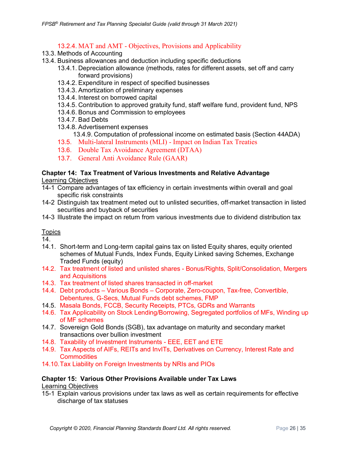#### 13.2.4. MAT and AMT - Objectives, Provisions and Applicability

- 13.3. Methods of Accounting
- 13.4. Business allowances and deduction including specific deductions
	- 13.4.1. Depreciation allowance (methods, rates for different assets, set off and carry forward provisions)
	- 13.4.2. Expenditure in respect of specified businesses
	- 13.4.3. Amortization of preliminary expenses
	- 13.4.4. Interest on borrowed capital
	- 13.4.5. Contribution to approved gratuity fund, staff welfare fund, provident fund, NPS
	- 13.4.6. Bonus and Commission to employees
	- 13.4.7. Bad Debts
	- 13.4.8. Advertisement expenses

13.4.9. Computation of professional income on estimated basis (Section 44ADA)

- 13.5. Multi-lateral Instruments (MLI) Impact on Indian Tax Treaties
- 13.6. Double Tax Avoidance Agreement (DTAA)
- 13.7. General Anti Avoidance Rule (GAAR)

#### **Chapter 14: Tax Treatment of Various Investments and Relative Advantage**  Learning Objectives

- 14-1 Compare advantages of tax efficiency in certain investments within overall and goal specific risk constraints
- 14-2 Distinguish tax treatment meted out to unlisted securities, off-market transaction in listed securities and buyback of securities
- 14-3 Illustrate the impact on return from various investments due to dividend distribution tax

### **Topics**

14.

- 14.1. Short-term and Long-term capital gains tax on listed Equity shares, equity oriented schemes of Mutual Funds, Index Funds, Equity Linked saving Schemes, Exchange Traded Funds (equity)
- 14.2. Tax treatment of listed and unlisted shares Bonus/Rights, Split/Consolidation, Mergers and Acquisitions
- 14.3. Tax treatment of listed shares transacted in off-market
- 14.4. Debt products Various Bonds Corporate, Zero-coupon, Tax-free, Convertible, Debentures, G-Secs, Mutual Funds debt schemes, FMP
- 14.5. Masala Bonds, FCCB, Security Receipts, PTCs, GDRs and Warrants
- 14.6. Tax Applicability on Stock Lending/Borrowing, Segregated portfolios of MFs, Winding up of MF schemes
- 14.7. Sovereign Gold Bonds (SGB), tax advantage on maturity and secondary market transactions over bullion investment
- 14.8. Taxability of Investment Instruments EEE, EET and ETE
- 14.9. Tax Aspects of AIFs, REITs and InvITs, Derivatives on Currency, Interest Rate and **Commodities**
- 14.10.Tax Liability on Foreign Investments by NRIs and PIOs

## **Chapter 15: Various Other Provisions Available under Tax Laws**

Learning Objectives

15-1 Explain various provisions under tax laws as well as certain requirements for effective discharge of tax statuses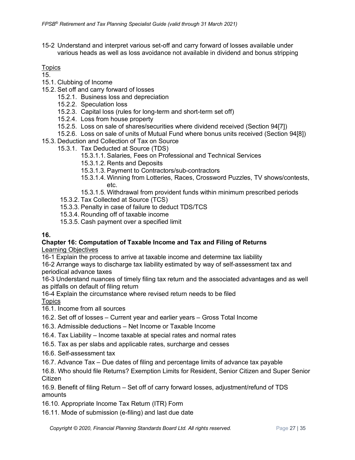15-2 Understand and interpret various set-off and carry forward of losses available under various heads as well as loss avoidance not available in dividend and bonus stripping

#### **Topics**

- 15.
- 15.1. Clubbing of Income
- 15.2. Set off and carry forward of losses
	- 15.2.1. Business loss and depreciation
	- 15.2.2. Speculation loss
	- 15.2.3. Capital loss (rules for long-term and short-term set off)
	- 15.2.4. Loss from house property
	- 15.2.5. Loss on sale of shares/securities where dividend received (Section 94[7])
	- 15.2.6. Loss on sale of units of Mutual Fund where bonus units received (Section 94[8])
- 15.3. Deduction and Collection of Tax on Source
	- 15.3.1. Tax Deducted at Source (TDS)
		- 15.3.1.1. Salaries, Fees on Professional and Technical Services
		- 15.3.1.2. Rents and Deposits
		- 15.3.1.3. Payment to Contractors/sub-contractors
		- 15.3.1.4. Winning from Lotteries, Races, Crossword Puzzles, TV shows/contests, etc.
		- 15.3.1.5. Withdrawal from provident funds within minimum prescribed periods
		- 15.3.2. Tax Collected at Source (TCS)
		- 15.3.3. Penalty in case of failure to deduct TDS/TCS
		- 15.3.4. Rounding off of taxable income
		- 15.3.5. Cash payment over a specified limit

#### **16.**

# **Chapter 16: Computation of Taxable Income and Tax and Filing of Returns**

Learning Objectives

16-1 Explain the process to arrive at taxable income and determine tax liability

16-2 Arrange ways to discharge tax liability estimated by way of self-assessment tax and periodical advance taxes

16-3 Understand nuances of timely filing tax return and the associated advantages and as well as pitfalls on default of filing return

16-4 Explain the circumstance where revised return needs to be filed

**Topics** 

- 16.1. Income from all sources
- 16.2. Set off of losses Current year and earlier years Gross Total Income
- 16.3. Admissible deductions Net Income or Taxable Income
- 16.4. Tax Liability Income taxable at special rates and normal rates
- 16.5. Tax as per slabs and applicable rates, surcharge and cesses
- 16.6. Self-assessment tax
- 16.7. Advance Tax Due dates of filing and percentage limits of advance tax payable

16.8. Who should file Returns? Exemption Limits for Resident, Senior Citizen and Super Senior Citizen

16.9. Benefit of filing Return – Set off of carry forward losses, adjustment/refund of TDS amounts

16.10. Appropriate Income Tax Return (ITR) Form

16.11. Mode of submission (e-filing) and last due date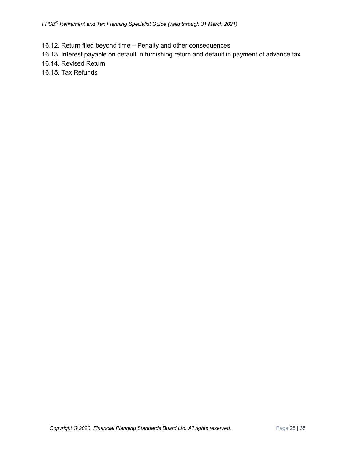- 16.12. Return filed beyond time Penalty and other consequences
- 16.13. Interest payable on default in furnishing return and default in payment of advance tax
- 16.14. Revised Return
- 16.15. Tax Refunds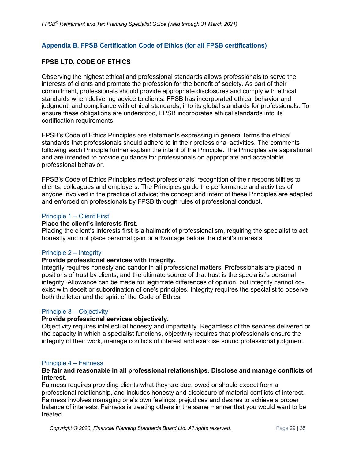#### <span id="page-28-0"></span>**Appendix B. FPSB Certification Code of Ethics (for all FPSB certifications)**

#### **FPSB LTD. CODE OF ETHICS**

Observing the highest ethical and professional standards allows professionals to serve the interests of clients and promote the profession for the benefit of society. As part of their commitment, professionals should provide appropriate disclosures and comply with ethical standards when delivering advice to clients. FPSB has incorporated ethical behavior and judgment, and compliance with ethical standards, into its global standards for professionals. To ensure these obligations are understood, FPSB incorporates ethical standards into its certification requirements.

FPSB's Code of Ethics Principles are statements expressing in general terms the ethical standards that professionals should adhere to in their professional activities. The comments following each Principle further explain the intent of the Principle. The Principles are aspirational and are intended to provide guidance for professionals on appropriate and acceptable professional behavior.

FPSB's Code of Ethics Principles reflect professionals' recognition of their responsibilities to clients, colleagues and employers. The Principles guide the performance and activities of anyone involved in the practice of advice; the concept and intent of these Principles are adapted and enforced on professionals by FPSB through rules of professional conduct.

#### Principle 1 – Client First

#### **Place the client's interests first.**

Placing the client's interests first is a hallmark of professionalism, requiring the specialist to act honestly and not place personal gain or advantage before the client's interests.

#### Principle 2 – Integrity

#### **Provide professional services with integrity.**

Integrity requires honesty and candor in all professional matters. Professionals are placed in positions of trust by clients, and the ultimate source of that trust is the specialist's personal integrity. Allowance can be made for legitimate differences of opinion, but integrity cannot coexist with deceit or subordination of one's principles. Integrity requires the specialist to observe both the letter and the spirit of the Code of Ethics.

#### Principle 3 – Objectivity

#### **Provide professional services objectively.**

Objectivity requires intellectual honesty and impartiality. Regardless of the services delivered or the capacity in which a specialist functions, objectivity requires that professionals ensure the integrity of their work, manage conflicts of interest and exercise sound professional judgment.

#### Principle 4 – Fairness

#### **Be fair and reasonable in all professional relationships. Disclose and manage conflicts of interest.**

Fairness requires providing clients what they are due, owed or should expect from a professional relationship, and includes honesty and disclosure of material conflicts of interest. Fairness involves managing one's own feelings, prejudices and desires to achieve a proper balance of interests. Fairness is treating others in the same manner that you would want to be treated.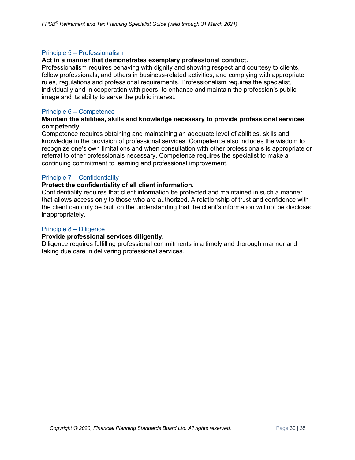#### Principle 5 – Professionalism

#### **Act in a manner that demonstrates exemplary professional conduct.**

Professionalism requires behaving with dignity and showing respect and courtesy to clients, fellow professionals, and others in business-related activities, and complying with appropriate rules, regulations and professional requirements. Professionalism requires the specialist, individually and in cooperation with peers, to enhance and maintain the profession's public image and its ability to serve the public interest.

#### Principle 6 – Competence

#### **Maintain the abilities, skills and knowledge necessary to provide professional services competently.**

Competence requires obtaining and maintaining an adequate level of abilities, skills and knowledge in the provision of professional services. Competence also includes the wisdom to recognize one's own limitations and when consultation with other professionals is appropriate or referral to other professionals necessary. Competence requires the specialist to make a continuing commitment to learning and professional improvement.

#### Principle 7 – Confidentiality

#### **Protect the confidentiality of all client information.**

Confidentiality requires that client information be protected and maintained in such a manner that allows access only to those who are authorized. A relationship of trust and confidence with the client can only be built on the understanding that the client's information will not be disclosed inappropriately.

#### Principle 8 – Diligence

#### **Provide professional services diligently.**

Diligence requires fulfilling professional commitments in a timely and thorough manner and taking due care in delivering professional services.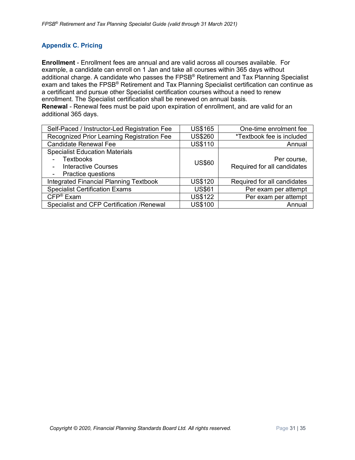#### <span id="page-30-0"></span>**Appendix C. Pricing**

**Enrollment** - Enrollment fees are annual and are valid across all courses available. For example, a candidate can enroll on 1 Jan and take all courses within 365 days without additional charge. A candidate who passes the FPSB<sup>®</sup> Retirement and Tax Planning Specialist exam and takes the FPSB® Retirement and Tax Planning Specialist certification can continue as a certificant and pursue other Specialist certification courses without a need to renew enrollment. The Specialist certification shall be renewed on annual basis. **Renewal** - Renewal fees must be paid upon expiration of enrollment, and are valid for an additional 365 days.

| Self-Paced / Instructor-Led Registration Fee                                                                  | <b>US\$165</b> | One-time enrolment fee                     |
|---------------------------------------------------------------------------------------------------------------|----------------|--------------------------------------------|
| Recognized Prior Learning Registration Fee                                                                    | <b>US\$260</b> | *Textbook fee is included                  |
| <b>Candidate Renewal Fee</b>                                                                                  | <b>US\$110</b> | Annual                                     |
| <b>Specialist Education Materials</b><br>Textbooks<br><b>Interactive Courses</b><br><b>Practice questions</b> | <b>US\$60</b>  | Per course,<br>Required for all candidates |
| <b>Integrated Financial Planning Textbook</b>                                                                 | <b>US\$120</b> | Required for all candidates                |
| <b>Specialist Certification Exams</b>                                                                         | <b>US\$61</b>  | Per exam per attempt                       |
| $CFP^{\circledR}$ Exam                                                                                        | <b>US\$122</b> | Per exam per attempt                       |
| Specialist and CFP Certification / Renewal                                                                    | <b>US\$100</b> | Annual                                     |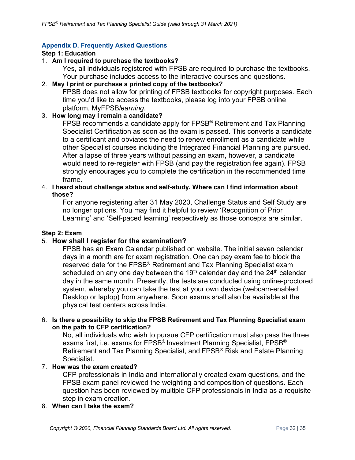#### <span id="page-31-0"></span>**Appendix D. Frequently Asked Questions**

#### **Step 1: Education**

#### 1. **Am I required to purchase the textbooks?**

Yes, all individuals registered with FPSB are required to purchase the textbooks. Your purchase includes access to the interactive courses and questions.

#### 2. **May I print or purchase a printed copy of the textbooks?**

FPSB does not allow for printing of FPSB textbooks for copyright purposes. Each time you'd like to access the textbooks, please log into your FPSB online platform, MyFPSB*learning*.

#### 3. **How long may I remain a candidate?**

FPSB recommends a candidate apply for FPSB<sup>®</sup> Retirement and Tax Planning Specialist Certification as soon as the exam is passed. This converts a candidate to a certificant and obviates the need to renew enrollment as a candidate while other Specialist courses including the Integrated Financial Planning are pursued. After a lapse of three years without passing an exam, however, a candidate would need to re-register with FPSB (and pay the registration fee again). FPSB strongly encourages you to complete the certification in the recommended time frame.

#### 4. **I heard about challenge status and self-study. Where can I find information about those?**

For anyone registering after 31 May 2020, Challenge Status and Self Study are no longer options. You may find it helpful to review 'Recognition of Prior Learning' and 'Self-paced learning' respectively as those concepts are similar.

#### **Step 2: Exam**

#### 5. **How shall I register for the examination?**

FPSB has an Exam Calendar published on website. The initial seven calendar days in a month are for exam registration. One can pay exam fee to block the reserved date for the FPSB® Retirement and Tax Planning Specialist exam scheduled on any one day between the 19<sup>th</sup> calendar day and the 24<sup>th</sup> calendar day in the same month. Presently, the tests are conducted using online-proctored system, whereby you can take the test at your own device (webcam-enabled Desktop or laptop) from anywhere. Soon exams shall also be available at the physical test centers across India.

#### 6. **Is there a possibility to skip the FPSB Retirement and Tax Planning Specialist exam on the path to CFP certification?**

No, all individuals who wish to pursue CFP certification must also pass the three exams first, i.e. exams for FPSB<sup>®</sup> [I](https://india.fpsb.org/fpsb-retirement-and-tax-planning-specialist/)nvestment Planning Specialist, FPSB<sup>®</sup> [Retirement and Tax Planning Specialist,](https://india.fpsb.org/fpsb-retirement-and-tax-planning-specialist/) and [FPSB®](https://india.fpsb.org/risk-management-and-estate-planning/) [Risk and Estate Planning](https://india.fpsb.org/risk-management-and-estate-planning/)  [Specialist.](https://india.fpsb.org/risk-management-and-estate-planning/)

#### 7. **How was the exam created?**

CFP professionals in India and internationally created exam questions, and the FPSB exam panel reviewed the weighting and composition of questions. Each question has been reviewed by multiple CFP professionals in India as a requisite step in exam creation.

#### 8. **When can I take the exam?**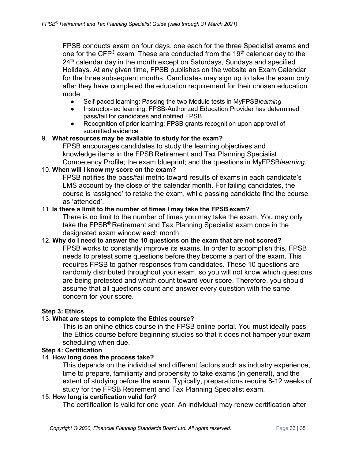FPSB conducts exam on four days, one each for the three Specialist exams and one for the CFP® exam. These are conducted from the 19<sup>th</sup> calendar day to the  $24<sup>th</sup>$  calendar day in the month except on Saturdays, Sundays and specified Holidays. At any given time, FPSB publishes on the website an Exam Calendar for the three subsequent months. Candidates may sign up to take the exam only after they have completed the education requirement for their chosen education mode:

- Self-paced learning: Passing the two Module tests in MyFPSB*learning*
- Instructor-led learning: FPSB-Authorized Education Provider has determined pass/fail for candidates and notified FPSB
- Recognition of prior learning: FPSB grants recognition upon approval of submitted evidence

#### 9. **What resources may be available to study for the exam?**

FPSB encourages candidates to study the learning objectives and knowledge items in the FPSB Retirement and Tax Planning Specialist Competency Profile; the exam blueprint; and the questions in MyFPSB*learning*.

#### 10. **When will I know my score on the exam?**

FPSB notifies the pass/fail metric toward results of exams in each candidate's LMS account by the close of the calendar month. For failing candidates, the course is 'assigned' to retake the exam, while passing candidate find the course as 'attended'.

#### 11. **Is there a limit to the number of times I may take the FPSB exam?**

There is no limit to the number of times you may take the exam. You may only take the FPSB® Retirement and Tax Planning Specialist exam once in the designated exam window each month.

#### 12. **Why do I need to answer the 10 questions on the exam that are not scored?**

FPSB works to constantly improve its exams. In order to accomplish this, FPSB needs to pretest some questions before they become a part of the exam. This requires FPSB to gather responses from candidates. These 10 questions are randomly distributed throughout your exam, so you will not know which questions are being pretested and which count toward your score. Therefore, you should assume that all questions count and answer every question with the same concern for your score.

#### **Step 3: Ethics**

#### 13. **What are steps to complete the Ethics course?**

This is an online ethics course in the FPSB online portal. You must ideally pass the Ethics course before beginning studies so that it does not hamper your exam scheduling when due.

#### **Step 4: Certification**

#### 14. **How long does the process take?**

This depends on the individual and different factors such as industry experience, time to prepare, familiarity and propensity to take exams (in general), and the extent of studying before the exam. Typically, preparations require 8-12 weeks of study for the FPSB Retirement and Tax Planning Specialist exam.

#### 15. **How long is certification valid for?**

The certification is valid for one year. An individual may renew certification after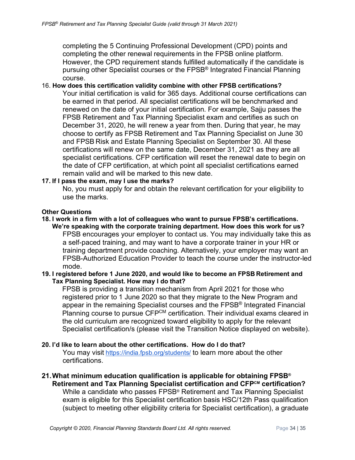completing the 5 Continuing Professional Development (CPD) points and completing the other renewal requirements in the FPSB online platform. However, the CPD requirement stands fulfilled automatically if the candidate is pursuing other Specialist courses or the FPSB® Integrated Financial Planning course.

#### 16. **How does this certification validity combine with other FPSB certifications?**

Your initial certification is valid for 365 days. Additional course certifications can be earned in that period. All specialist certifications will be benchmarked and renewed on the date of your initial certification. For example, Sajju passes the FPSB Retirement and Tax Planning Specialist exam and certifies as such on December 31, 2020, he will renew a year from then. During that year, he may choose to certify as FPSB Retirement and Tax Planning Specialist on June 30 and FPSB Risk and Estate Planning Specialist on September 30. All these certifications will renew on the same date, December 31, 2021 as they are all specialist certifications. CFP certification will reset the renewal date to begin on the date of CFP certification, at which point all specialist certifications earned remain valid and will be marked to this new date.

#### **17. If I pass the exam, may I use the marks?**

No, you must apply for and obtain the relevant certification for your eligibility to use the marks.

#### **Other Questions**

**18. I work in a firm with a lot of colleagues who want to pursue FPSB's certifications. We're speaking with the corporate training department. How does this work for us?** FPSB encourages your employer to contact us. You may individually take this as a self-paced training, and may want to have a corporate trainer in your HR or training department provide coaching. Alternatively, your employer may want an FPSB-Authorized Education Provider to teach the course under the instructor-led mode.

#### **19. I registered before 1 June 2020, and would like to become an FPSB Retirement and Tax Planning Specialist. How may I do that?**

FPSB is providing a transition mechanism from April 2021 for those who registered prior to 1 June 2020 so that they migrate to the New Program and appear in the remaining Specialist courses and the FPSB® Integrated Financial Planning course to pursue CFP<sup>CM</sup> certification. Their individual exams cleared in the old curriculum are recognized toward eligibility to apply for the relevant Specialist certification/s (please visit the Transition Notice displayed on website).

#### **20. I'd like to learn about the other certifications. How do I do that?**

You may visit <https://india.fpsb.org/students/> to learn more about the other certifications.

**21.What minimum education qualification is applicable for obtaining FPSB® Retirement and Tax Planning Specialist certification and CFPCM certification?** While a candidate who passes FPSB® Retirement and Tax Planning Specialist exam is eligible for this Specialist certification basis HSC/12th Pass qualification (subject to meeting other eligibility criteria for Specialist certification), a graduate